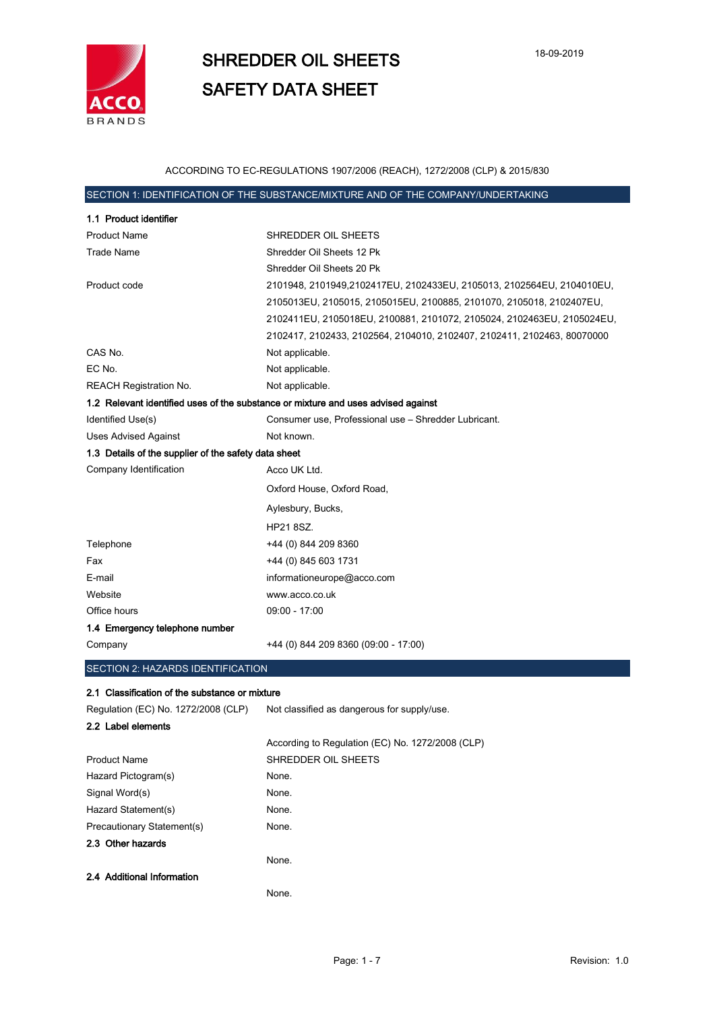

### ACCORDING TO EC-REGULATIONS 1907/2006 (REACH), 1272/2008 (CLP) & 2015/830

## SECTION 1: IDENTIFICATION OF THE SUBSTANCE/MIXTURE AND OF THE COMPANY/UNDERTAKING

| 1.1 Product identifier                                                            |                                                                         |
|-----------------------------------------------------------------------------------|-------------------------------------------------------------------------|
| <b>Product Name</b>                                                               | SHREDDER OIL SHEETS                                                     |
| <b>Trade Name</b>                                                                 | Shredder Oil Sheets 12 Pk                                               |
|                                                                                   | Shredder Oil Sheets 20 Pk                                               |
| Product code                                                                      | 2101948, 2101949,2102417EU, 2102433EU, 2105013, 2102564EU, 2104010EU,   |
|                                                                                   | 2105013EU, 2105015, 2105015EU, 2100885, 2101070, 2105018, 2102407EU,    |
|                                                                                   | 2102411EU, 2105018EU, 2100881, 2101072, 2105024, 2102463EU, 2105024EU,  |
|                                                                                   | 2102417, 2102433, 2102564, 2104010, 2102407, 2102411, 2102463, 80070000 |
| CAS No.                                                                           | Not applicable.                                                         |
| EC No.                                                                            | Not applicable.                                                         |
| <b>REACH Registration No.</b>                                                     | Not applicable.                                                         |
| 1.2 Relevant identified uses of the substance or mixture and uses advised against |                                                                         |
| Identified Use(s)                                                                 | Consumer use, Professional use - Shredder Lubricant.                    |
| <b>Uses Advised Against</b>                                                       | Not known.                                                              |
| 1.3 Details of the supplier of the safety data sheet                              |                                                                         |
| Company Identification                                                            | Acco UK Ltd.                                                            |
|                                                                                   | Oxford House, Oxford Road,                                              |
|                                                                                   | Aylesbury, Bucks,                                                       |
|                                                                                   | HP21 8SZ.                                                               |
| Telephone                                                                         | +44 (0) 844 209 8360                                                    |
| Fax                                                                               | +44 (0) 845 603 1731                                                    |
| E-mail                                                                            | informationeurope@acco.com                                              |
| Website                                                                           | www.acco.co.uk                                                          |
| Office hours                                                                      | $09:00 - 17:00$                                                         |
| 1.4 Emergency telephone number                                                    |                                                                         |
| Company                                                                           | +44 (0) 844 209 8360 (09:00 - 17:00)                                    |
| SECTION 2: HAZARDS IDENTIFICATION                                                 |                                                                         |

#### 2.1 Classification of the substance or mixture

| Regulation (EC) No. 1272/2008 (CLP) | Not classified as dangerous for supply/use.      |
|-------------------------------------|--------------------------------------------------|
| 2.2 Label elements                  |                                                  |
|                                     | According to Regulation (EC) No. 1272/2008 (CLP) |
| <b>Product Name</b>                 | SHREDDER OIL SHEETS                              |
| Hazard Pictogram(s)                 | None.                                            |
| Signal Word(s)                      | None.                                            |
| Hazard Statement(s)                 | None.                                            |
| Precautionary Statement(s)          | None.                                            |
| 2.3 Other hazards                   |                                                  |
|                                     | None.                                            |
| 2.4 Additional Information          |                                                  |
|                                     | None.                                            |
|                                     |                                                  |

×.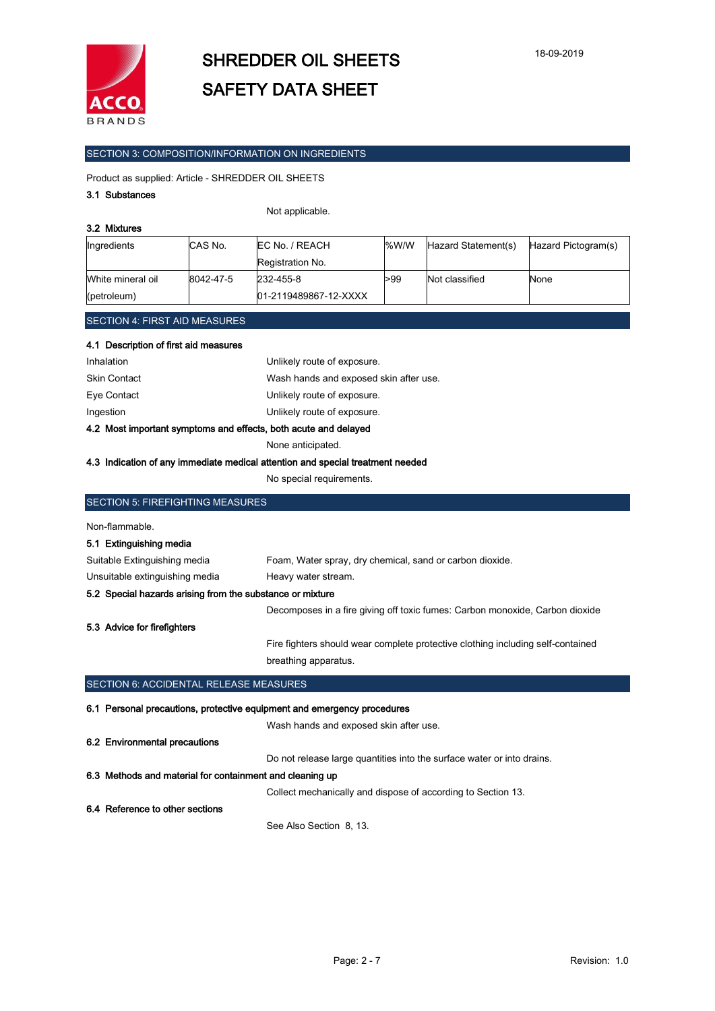

### SECTION 3: COMPOSITION/INFORMATION ON INGREDIENTS

Product as supplied: Article - SHREDDER OIL SHEETS

#### 3.1 Substances

#### Not applicable.

| 3.2 Mixtures                         |                        |                  |      |                     |                     |
|--------------------------------------|------------------------|------------------|------|---------------------|---------------------|
| Ingredients                          | ICAS No.               | EC No. / REACH   | %W/W | Hazard Statement(s) | Hazard Pictogram(s) |
|                                      |                        | Registration No. |      |                     |                     |
| White mineral oil                    | 8042-47-5<br>232-455-8 |                  | >99  | Not classified      | None                |
| 01-2119489867-12-XXXX<br>(petroleum) |                        |                  |      |                     |                     |

#### SECTION 4: FIRST AID MEASURES

| 4.1 Description of first aid measures |  |
|---------------------------------------|--|
|                                       |  |

| Inhalation          | Unlikely route of exposure.            |
|---------------------|----------------------------------------|
| <b>Skin Contact</b> | Wash hands and exposed skin after use. |
| Eye Contact         | Unlikely route of exposure.            |
| Ingestion           | Unlikely route of exposure.            |
|                     |                                        |

#### 4.2 Most important symptoms and effects, both acute and delayed

None anticipated.

#### 4.3 Indication of any immediate medical attention and special treatment needed

No special requirements.

| SECTION 5: FIREFIGHTING MEASURES                          |                                                                                 |
|-----------------------------------------------------------|---------------------------------------------------------------------------------|
| Non-flammable.                                            |                                                                                 |
| 5.1 Extinguishing media                                   |                                                                                 |
| Suitable Extinguishing media                              | Foam, Water spray, dry chemical, sand or carbon dioxide.                        |
| Unsuitable extinguishing media                            | Heavy water stream.                                                             |
| 5.2 Special hazards arising from the substance or mixture |                                                                                 |
|                                                           | Decomposes in a fire giving off toxic fumes: Carbon monoxide, Carbon dioxide    |
| 5.3 Advice for firefighters                               |                                                                                 |
|                                                           | Fire fighters should wear complete protective clothing including self-contained |
|                                                           | breathing apparatus.                                                            |
| SECTION 6: ACCIDENTAL RELEASE MEASURES                    |                                                                                 |
|                                                           | 6.1 Personal precautions, protective equipment and emergency procedures         |
|                                                           | Wash hands and exposed skin after use.                                          |
| 6.2 Environmental precautions                             |                                                                                 |
|                                                           | Do not release large quantities into the surface water or into drains.          |
| 6.3 Methods and material for containment and cleaning up  |                                                                                 |
|                                                           | Collect mechanically and dispose of according to Section 13.                    |
| 6.4 Reference to other sections                           |                                                                                 |
|                                                           | See Also Section 8, 13.                                                         |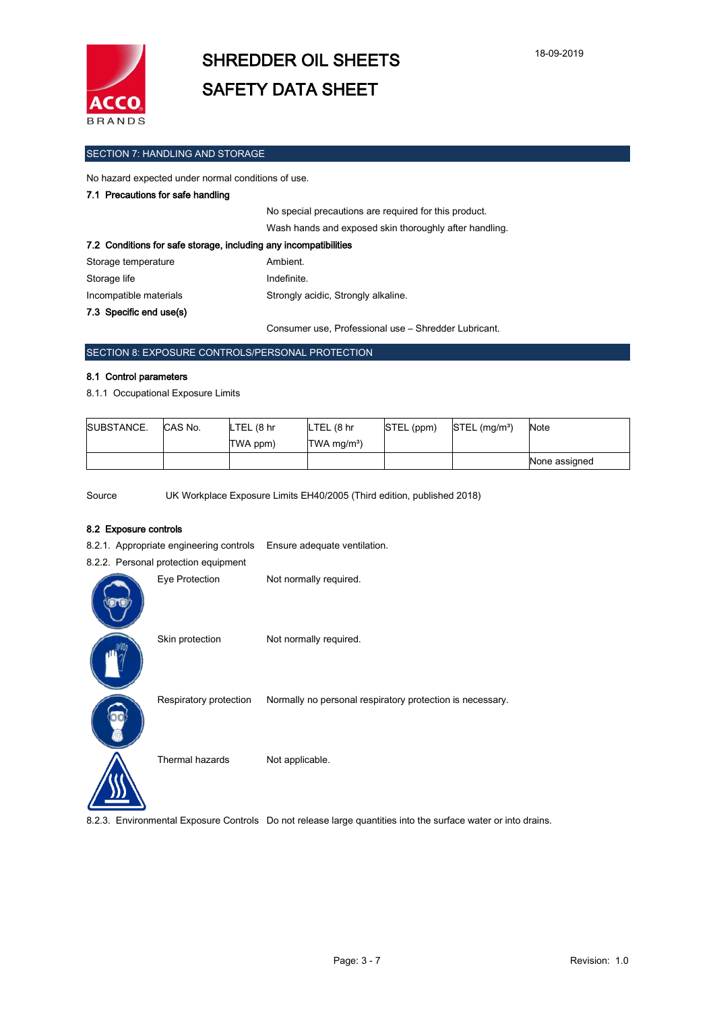

#### SECTION 7: HANDLING AND STORAGE

No hazard expected under normal conditions of use.

#### 7.1 Precautions for safe handling

|                                                                  | No special precautions are required for this product.  |
|------------------------------------------------------------------|--------------------------------------------------------|
|                                                                  | Wash hands and exposed skin thoroughly after handling. |
| 7.2 Conditions for safe storage, including any incompatibilities |                                                        |
| Storage temperature                                              | Ambient.                                               |
| Storage life                                                     | Indefinite.                                            |
| Incompatible materials                                           | Strongly acidic, Strongly alkaline.                    |
| 7.3 Specific end use(s)                                          |                                                        |

Consumer use, Professional use – Shredder Lubricant.

### SECTION 8: EXPOSURE CONTROLS/PERSONAL PROTECTION

#### 8.1 Control parameters

8.1.1 Occupational Exposure Limits

| SUBSTANCE. | CAS No. | LTEL (8 hr | LTEL (8 hr              | STEL (ppm) | $STEL$ (mg/m <sup>3</sup> ) | Note          |
|------------|---------|------------|-------------------------|------------|-----------------------------|---------------|
|            |         | TWA ppm)   | TWA mg/m <sup>3</sup> ) |            |                             |               |
|            |         |            |                         |            |                             | None assigned |

Source UK Workplace Exposure Limits EH40/2005 (Third edition, published 2018)

#### 8.2 Exposure controls

8.2.1. Appropriate engineering controls Ensure adequate ventilation.

| 8.2.2. Personal protection equipment |                        |                        |  |
|--------------------------------------|------------------------|------------------------|--|
|                                      | Eye Protection         | Not normally required. |  |
|                                      | Skin protection        | Not normally required. |  |
|                                      | Respiratory protection | Normally no personal   |  |
|                                      | Thermal hazards        | Not applicable.        |  |

iratory protection Normally no personal respiratory protection is necessary.

8.2.3. Environmental Exposure Controls Do not release large quantities into the surface water or into drains.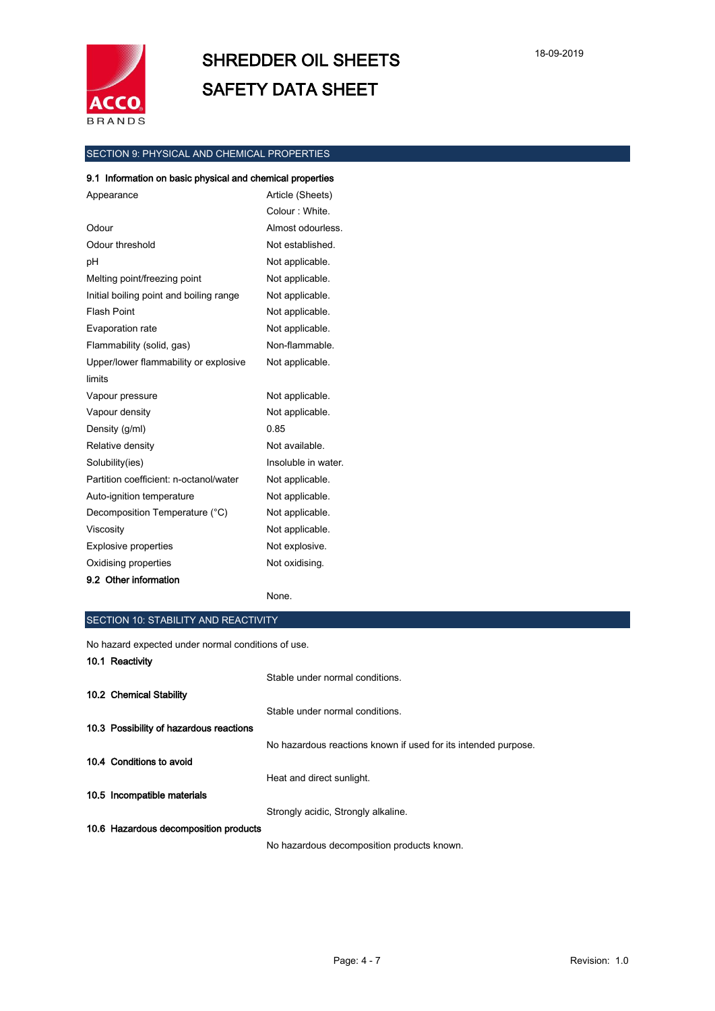

## SECTION 9: PHYSICAL AND CHEMICAL PROPERTIES

#### 9.1 Information on basic physical and chemical properties

| Appearance                              | Article (Sheets)    |
|-----------------------------------------|---------------------|
|                                         | Colour: White.      |
| Odour                                   | Almost odourless.   |
| Odour threshold                         | Not established.    |
| рH                                      | Not applicable.     |
| Melting point/freezing point            | Not applicable.     |
| Initial boiling point and boiling range | Not applicable.     |
| <b>Flash Point</b>                      | Not applicable.     |
| Evaporation rate                        | Not applicable.     |
| Flammability (solid, gas)               | Non-flammable.      |
| Upper/lower flammability or explosive   | Not applicable.     |
| limits                                  |                     |
| Vapour pressure                         | Not applicable.     |
| Vapour density                          | Not applicable.     |
| Density (g/ml)                          | 0.85                |
| Relative density                        | Not available.      |
| Solubility(ies)                         | Insoluble in water. |
| Partition coefficient: n-octanol/water  | Not applicable.     |
| Auto-ignition temperature               | Not applicable.     |
| Decomposition Temperature (°C)          | Not applicable.     |
| Viscosity                               | Not applicable.     |
| <b>Explosive properties</b>             | Not explosive.      |
| Oxidising properties                    | Not oxidising.      |
| 9.2 Other information                   |                     |

None.

#### SECTION 10: STABILITY AND REACTIVITY

No hazard expected under normal conditions of use.

| 10.1 Reactivity                         |                                                                |
|-----------------------------------------|----------------------------------------------------------------|
|                                         | Stable under normal conditions.                                |
| 10.2 Chemical Stability                 |                                                                |
|                                         | Stable under normal conditions.                                |
| 10.3 Possibility of hazardous reactions |                                                                |
|                                         | No hazardous reactions known if used for its intended purpose. |
| 10.4 Conditions to avoid                |                                                                |
|                                         | Heat and direct sunlight.                                      |
| 10.5 Incompatible materials             |                                                                |
|                                         | Strongly acidic, Strongly alkaline.                            |
| 10.6 Hazardous decomposition products   |                                                                |
|                                         | No hazardous decomposition products known.                     |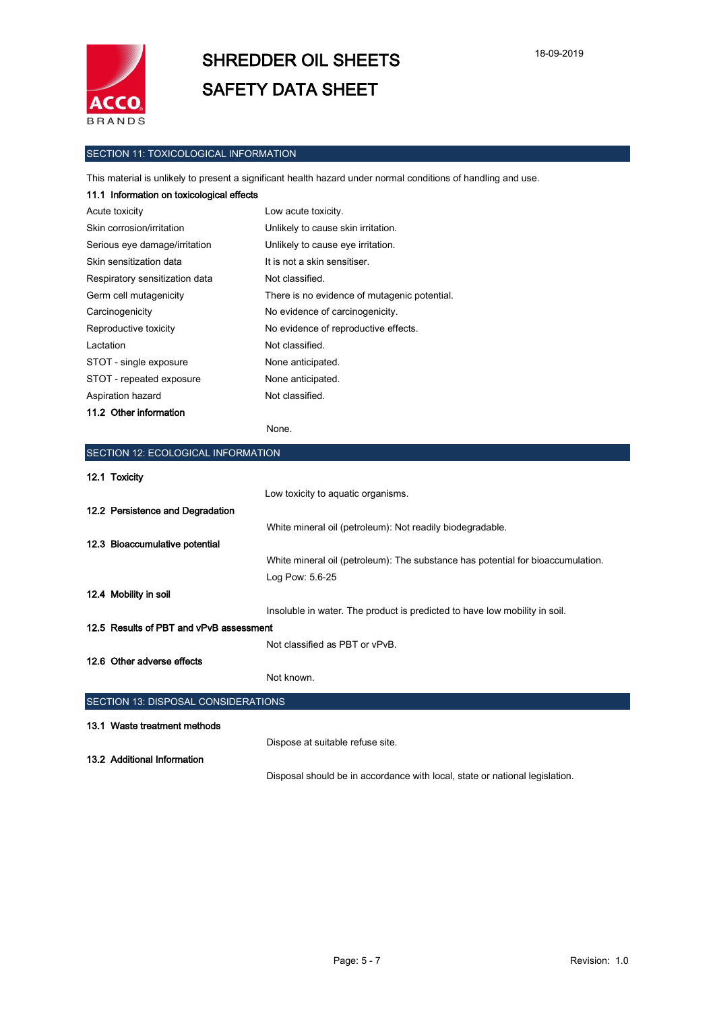

### SECTION 11: TOXICOLOGICAL INFORMATION

This material is unlikely to present a significant health hazard under normal conditions of handling and use.

| 11.1 Information on toxicological effects |                                              |
|-------------------------------------------|----------------------------------------------|
| Acute toxicity                            | Low acute toxicity.                          |
| Skin corrosion/irritation                 | Unlikely to cause skin irritation.           |
| Serious eye damage/irritation             | Unlikely to cause eye irritation.            |
| Skin sensitization data                   | It is not a skin sensitiser.                 |
| Respiratory sensitization data            | Not classified.                              |
| Germ cell mutagenicity                    | There is no evidence of mutagenic potential. |
| Carcinogenicity                           | No evidence of carcinogenicity.              |
| Reproductive toxicity                     | No evidence of reproductive effects.         |
| Lactation                                 | Not classified.                              |
| STOT - single exposure                    | None anticipated.                            |
| STOT - repeated exposure                  | None anticipated.                            |
| Aspiration hazard                         | Not classified.                              |
| 11.2 Other information                    |                                              |

#### None.

| SECTION 12: ECOLOGICAL INFORMATION      |                                                                                 |  |  |
|-----------------------------------------|---------------------------------------------------------------------------------|--|--|
| 12.1 Toxicity                           |                                                                                 |  |  |
|                                         | Low toxicity to aquatic organisms.                                              |  |  |
| 12.2 Persistence and Degradation        |                                                                                 |  |  |
|                                         | White mineral oil (petroleum): Not readily biodegradable.                       |  |  |
| 12.3 Bioaccumulative potential          |                                                                                 |  |  |
|                                         | White mineral oil (petroleum): The substance has potential for bioaccumulation. |  |  |
|                                         | Log Pow: 5.6-25                                                                 |  |  |
| 12.4 Mobility in soil                   |                                                                                 |  |  |
|                                         | Insoluble in water. The product is predicted to have low mobility in soil.      |  |  |
| 12.5 Results of PBT and vPvB assessment |                                                                                 |  |  |
|                                         | Not classified as PBT or vPvB.                                                  |  |  |
| 12.6 Other adverse effects              |                                                                                 |  |  |
|                                         | Not known.                                                                      |  |  |
| SECTION 13: DISPOSAL CONSIDERATIONS     |                                                                                 |  |  |
| 13.1 Waste treatment methods            |                                                                                 |  |  |
|                                         | Dispose at suitable refuse site.                                                |  |  |
| 13.2 Additional Information             |                                                                                 |  |  |
|                                         | Disposal should be in accordance with local, state or national legislation.     |  |  |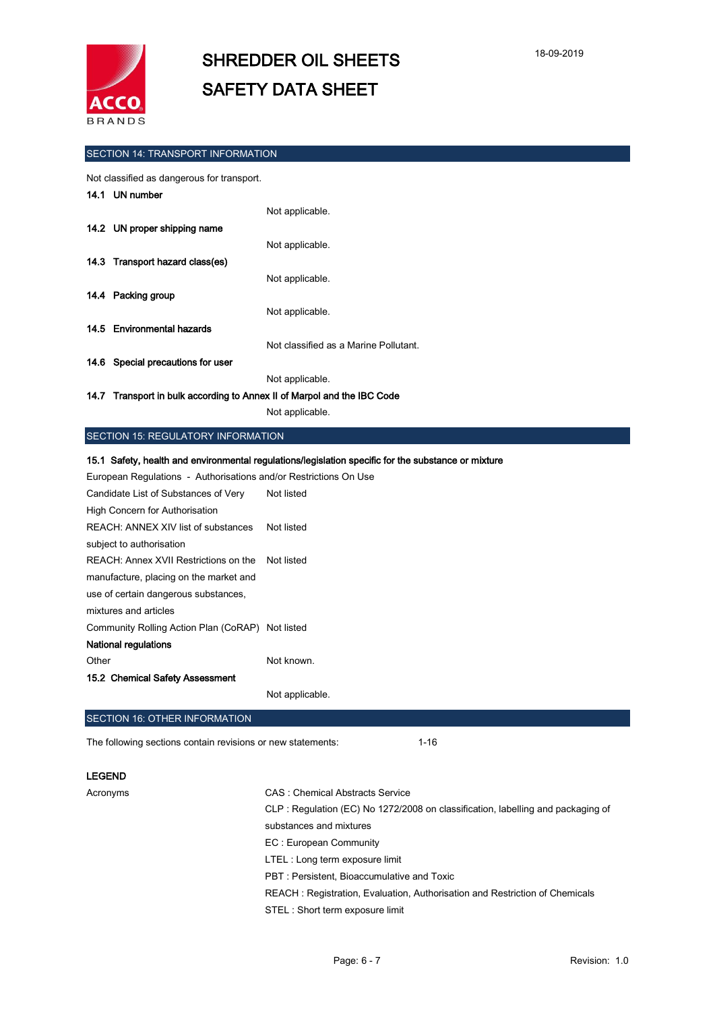

#### SECTION 14: TRANSPORT INFORMATION

Not classified as dangerous for transport.

| 14.1 UN number                                                          |                                       |  |
|-------------------------------------------------------------------------|---------------------------------------|--|
|                                                                         | Not applicable.                       |  |
| 14.2 UN proper shipping name                                            |                                       |  |
|                                                                         | Not applicable.                       |  |
| 14.3 Transport hazard class(es)                                         |                                       |  |
|                                                                         | Not applicable.                       |  |
| 14.4 Packing group                                                      |                                       |  |
|                                                                         | Not applicable.                       |  |
| 14.5 Environmental hazards                                              |                                       |  |
|                                                                         | Not classified as a Marine Pollutant. |  |
| 14.6 Special precautions for user                                       |                                       |  |
|                                                                         | Not applicable.                       |  |
|                                                                         |                                       |  |
| 14.7 Transport in bulk according to Annex II of Marpol and the IBC Code |                                       |  |

Not applicable.

#### SECTION 15: REGULATORY INFORMATION

15.1 Safety, health and environmental regulations/legislation specific for the substance or mixture

| European Regulations - Authorisations and/or Restrictions On Use |            |  |  |  |
|------------------------------------------------------------------|------------|--|--|--|
| Candidate List of Substances of Very                             | Not listed |  |  |  |
| High Concern for Authorisation                                   |            |  |  |  |
| REACH: ANNEX XIV list of substances                              | Not listed |  |  |  |
| subject to authorisation                                         |            |  |  |  |
| REACH: Annex XVII Restrictions on the                            | Not listed |  |  |  |
| manufacture, placing on the market and                           |            |  |  |  |
| use of certain dangerous substances,                             |            |  |  |  |
| mixtures and articles                                            |            |  |  |  |
| Community Rolling Action Plan (CoRAP) Not listed                 |            |  |  |  |
| National regulations                                             |            |  |  |  |
| Other                                                            | Not known. |  |  |  |
| 15.2 Chemical Safety Assessment                                  |            |  |  |  |

Not applicable.

#### SECTION 16: OTHER INFORMATION

The following sections contain revisions or new statements: 1-16

#### LEGEND

Acronyms CAS : Chemical Abstracts Service CLP : Regulation (EC) No 1272/2008 on classification, labelling and packaging of substances and mixtures EC : European Community LTEL : Long term exposure limit PBT : Persistent, Bioaccumulative and Toxic REACH : Registration, Evaluation, Authorisation and Restriction of Chemicals STEL : Short term exposure limit